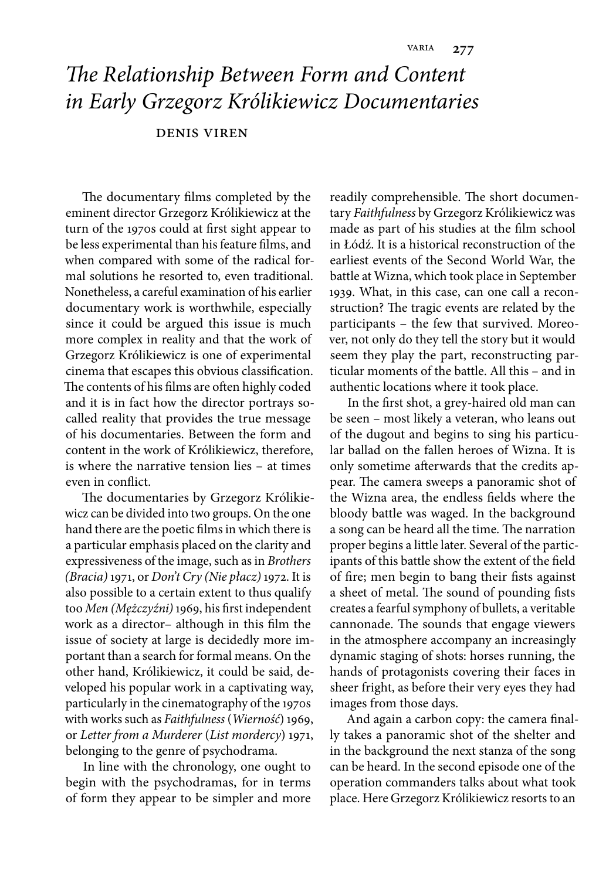## *The Relationship Between Form and Content in Early Grzegorz Królikiewicz Documentaries*

## denis viren

The documentary films completed by the eminent director Grzegorz Królikiewicz at the turn of the 1970s could at first sight appear to be less experimental than his feature films, and when compared with some of the radical formal solutions he resorted to, even traditional. Nonetheless, a careful examination of his earlier documentary work is worthwhile, especially since it could be argued this issue is much more complex in reality and that the work of Grzegorz Królikiewicz is one of experimental cinema that escapes this obvious classification. The contents of his films are often highly coded and it is in fact how the director portrays socalled reality that provides the true message of his documentaries. Between the form and content in the work of Królikiewicz, therefore, is where the narrative tension lies – at times even in conflict.

The documentaries by Grzegorz Królikiewicz can be divided into two groups. On the one hand there are the poetic films in which there is a particular emphasis placed on the clarity and expressiveness of the image, such as in *Brothers (Bracia)* 1971, or *Don't Cry (Nie płacz)* 1972. It is also possible to a certain extent to thus qualify too Men (Mężczyźni) 1969, his first independent work as a director- although in this film the issue of society at large is decidedly more important than a search for formal means. On the other hand, Królikiewicz, it could be said, developed his popular work in a captivating way, particularly in the cinematography of the 1970s with works such as *Faithfulness* (*Wierność*) 1969, or *Letter from a Murderer* (*List mordercy*) 1971, belonging to the genre of psychodrama.

In line with the chronology, one ought to begin with the psychodramas, for in terms of form they appear to be simpler and more

readily comprehensible. The short documentary *Faithfulness* by Grzegorz Królikiewicz was made as part of his studies at the film school in Łódź. It is a historical reconstruction of the earliest events of the Second World War, the battle at Wizna, which took place in September 1939. What, in this case, can one call a reconstruction? The tragic events are related by the participants – the few that survived. Moreover, not only do they tell the story but it would seem they play the part, reconstructing particular moments of the battle. All this – and in authentic locations where it took place.

In the first shot, a grey-haired old man can be seen – most likely a veteran, who leans out of the dugout and begins to sing his particular ballad on the fallen heroes of Wizna. It is only sometime afterwards that the credits appear. The camera sweeps a panoramic shot of the Wizna area, the endless fields where the bloody battle was waged. In the background a song can be heard all the time. The narration proper begins a little later. Several of the participants of this battle show the extent of the field of fire; men begin to bang their fists against a sheet of metal. The sound of pounding fists creates a fearful symphony of bullets, a veritable cannonade. The sounds that engage viewers in the atmosphere accompany an increasingly dynamic staging of shots: horses running, the hands of protagonists covering their faces in sheer fright, as before their very eyes they had images from those days.

And again a carbon copy: the camera finally takes a panoramic shot of the shelter and in the background the next stanza of the song can be heard. In the second episode one of the operation commanders talks about what took place. Here Grzegorz Królikiewicz resorts to an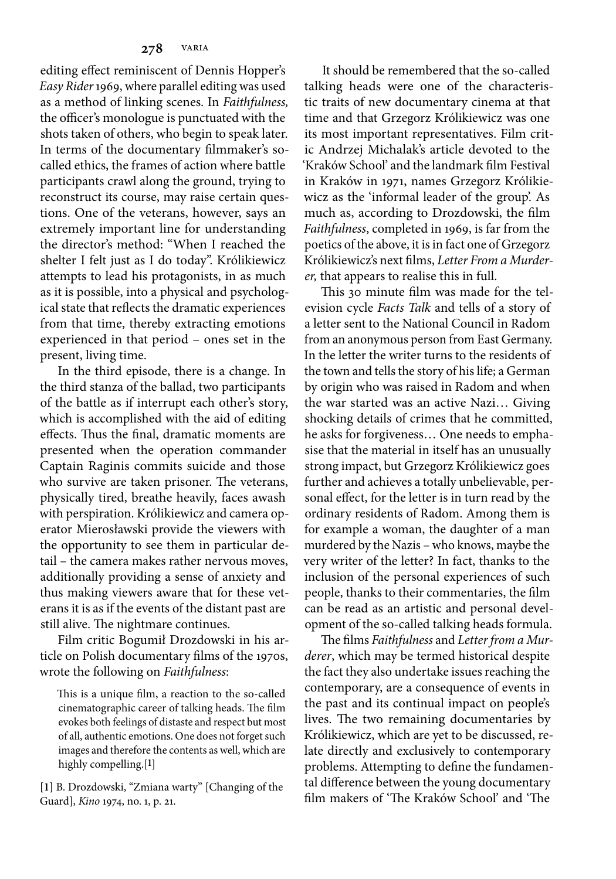editing effect reminiscent of Dennis Hopper's *Easy Rider* 1969, where parallel editing was used as a method of linking scenes. In *Faithfulness,* the officer's monologue is punctuated with the shots taken of others, who begin to speak later. In terms of the documentary filmmaker's socalled ethics, the frames of action where battle participants crawl along the ground, trying to reconstruct its course, may raise certain questions. One of the veterans, however, says an extremely important line for understanding the director's method: "When I reached the shelter I felt just as I do today". Królikiewicz attempts to lead his protagonists, in as much as it is possible, into a physical and psychological state that reflects the dramatic experiences from that time, thereby extracting emotions experienced in that period – ones set in the present, living time.

In the third episode, there is a change. In the third stanza of the ballad, two participants of the battle as if interrupt each other's story, which is accomplished with the aid of editing effects. Thus the final, dramatic moments are presented when the operation commander Captain Raginis commits suicide and those who survive are taken prisoner. The veterans, physically tired, breathe heavily, faces awash with perspiration. Królikiewicz and camera operator Mierosławski provide the viewers with the opportunity to see them in particular detail – the camera makes rather nervous moves, additionally providing a sense of anxiety and thus making viewers aware that for these veterans it is as if the events of the distant past are still alive. The nightmare continues.

Film critic Bogumił Drozdowski in his article on Polish documentary films of the 1970s, wrote the following on *Faithfulness*:

This is a unique film, a reaction to the so-called cinematographic career of talking heads. The film evokes both feelings of distaste and respect but most of all, authentic emotions. One does not forget such images and therefore the contents as well, which are highly compelling.[**1**]

**[1]** B. Drozdowski, "Zmiana warty" [Changing of the Guard], *Kino* 1974, no. 1, p. 21.

It should be remembered that the so-called talking heads were one of the characteristic traits of new documentary cinema at that time and that Grzegorz Królikiewicz was one its most important representatives. Film critic Andrzej Michalak's article devoted to the 'Kraków School' and the landmark film Festival in Kraków in 1971, names Grzegorz Królikiewicz as the 'informal leader of the group'. As much as, according to Drozdowski, the film *Faithfulness*, completed in 1969, is far from the poetics of the above, it is in fact one of Grzegorz Królikiewicz's next films, Letter From a Murder*er,* that appears to realise this in full.

This 30 minute film was made for the television cycle *Facts Talk* and tells of a story of a letter sent to the National Council in Radom from an anonymous person from East Germany. In the letter the writer turns to the residents of the town and tells the story of his life; a German by origin who was raised in Radom and when the war started was an active Nazi… Giving shocking details of crimes that he committed, he asks for forgiveness… One needs to emphasise that the material in itself has an unusually strong impact, but Grzegorz Królikiewicz goes further and achieves a totally unbelievable, personal effect, for the letter is in turn read by the ordinary residents of Radom. Among them is for example a woman, the daughter of a man murdered by the Nazis – who knows, maybe the very writer of the letter? In fact, thanks to the inclusion of the personal experiences of such people, thanks to their commentaries, the film can be read as an artistic and personal development of the so-called talking heads formula.

The films Faithfulness and Letter from a Mur*derer*, which may be termed historical despite the fact they also undertake issues reaching the contemporary, are a consequence of events in the past and its continual impact on people's lives. The two remaining documentaries by Królikiewicz, which are yet to be discussed, relate directly and exclusively to contemporary problems. Attempting to define the fundamental difference between the young documentary film makers of 'The Kraków School' and 'The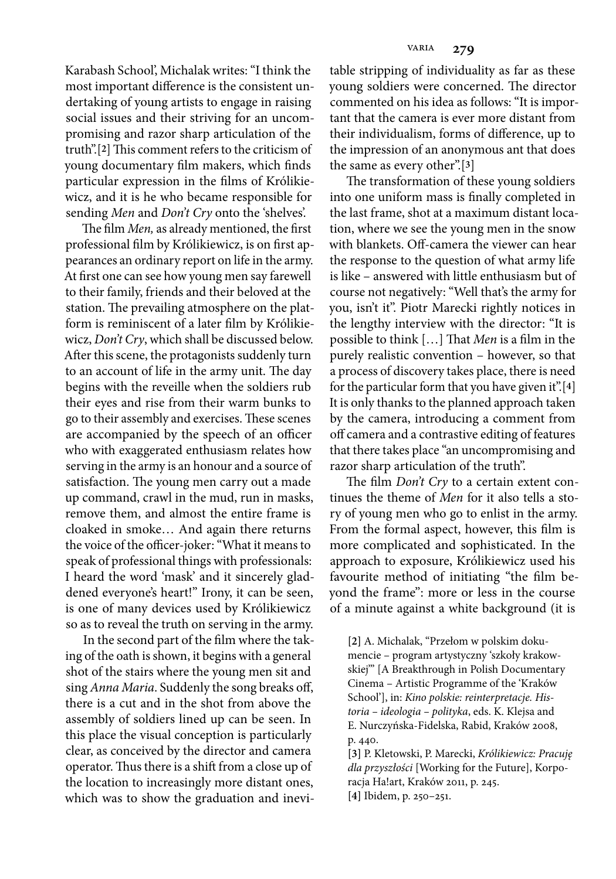Karabash School', Michalak writes: "I think the most important difference is the consistent undertaking of young artists to engage in raising social issues and their striving for an uncompromising and razor sharp articulation of the truth".<sup>[2]</sup> This comment refers to the criticism of young documentary film makers, which finds particular expression in the films of Królikiewicz, and it is he who became responsible for sending *Men* and *Don't Cry* onto the 'shelves'.

The film *Men*, as already mentioned, the first professional film by Królikiewicz, is on first appearances an ordinary report on life in the army. At first one can see how young men say farewell to their family, friends and their beloved at the station. The prevailing atmosphere on the platform is reminiscent of a later film by Królikiewicz, *Don't Cry*, which shall be discussed below. After this scene, the protagonists suddenly turn to an account of life in the army unit. The day begins with the reveille when the soldiers rub their eyes and rise from their warm bunks to go to their assembly and exercises. These scenes are accompanied by the speech of an officer who with exaggerated enthusiasm relates how serving in the army is an honour and a source of satisfaction. The young men carry out a made up command, crawl in the mud, run in masks, remove them, and almost the entire frame is cloaked in smoke… And again there returns the voice of the officer-joker: "What it means to speak of professional things with professionals: I heard the word 'mask' and it sincerely gladdened everyone's heart!" Irony, it can be seen, is one of many devices used by Królikiewicz so as to reveal the truth on serving in the army.

In the second part of the film where the taking of the oath is shown, it begins with a general shot of the stairs where the young men sit and sing *Anna Maria*. Suddenly the song breaks off, there is a cut and in the shot from above the assembly of soldiers lined up can be seen. In this place the visual conception is particularly clear, as conceived by the director and camera operator. Thus there is a shift from a close up of the location to increasingly more distant ones, which was to show the graduation and inevi-

table stripping of individuality as far as these young soldiers were concerned. The director commented on his idea as follows: "It is important that the camera is ever more distant from their individualism, forms of difference, up to the impression of an anonymous ant that does the same as every other".[**3**]

The transformation of these young soldiers into one uniform mass is finally completed in the last frame, shot at a maximum distant location, where we see the young men in the snow with blankets. Off-camera the viewer can hear the response to the question of what army life is like – answered with little enthusiasm but of course not negatively: "Well that's the army for you, isn't it". Piotr Marecki rightly notices in the lengthy interview with the director: "It is possible to think [...] That *Men* is a film in the purely realistic convention – however, so that a process of discovery takes place, there is need for the particular form that you have given it".[**4**] It is only thanks to the planned approach taken by the camera, introducing a comment from off camera and a contrastive editing of features that there takes place "an uncompromising and razor sharp articulation of the truth".

The film *Don't Cry* to a certain extent continues the theme of *Men* for it also tells a story of young men who go to enlist in the army. From the formal aspect, however, this film is more complicated and sophisticated. In the approach to exposure, Królikiewicz used his favourite method of initiating "the film beyond the frame": more or less in the course of a minute against a white background (it is

**[2]** A. Michalak, "Przełom w polskim dokumencie – program artystyczny 'szkoły krakowskiej'" [A Breakthrough in Polish Documentary Cinema – Artistic Programme of the 'Kraków School'], in: *Kino polskie: reinterpretacje. Historia – ideologia – polityka*, eds. K. Klejsa and E. Nurczyńska-Fidelska, Rabid, Kraków 2008, p. 440.

**[3]** P. Kletowski, P. Marecki, *Królikiewicz: Pracuję dla przyszłości* [Working for the Future], Korporacja Ha!art, Kraków 2011, p. 245. **[4]** Ibidem, p. 250–251.